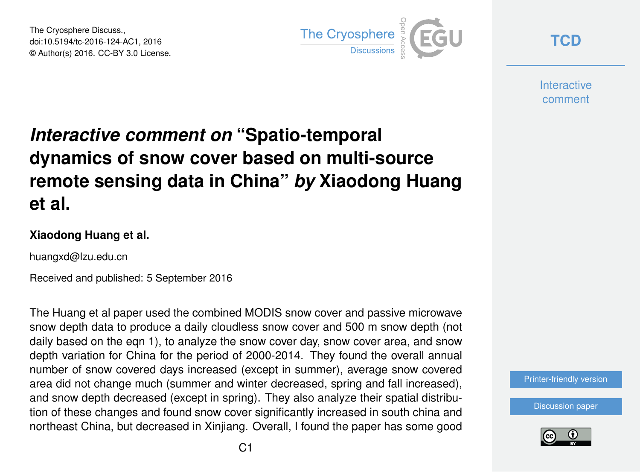The Cryosphere Discuss., doi:10.5194/tc-2016-124-AC1, 2016 © Author(s) 2016. CC-BY 3.0 License.



**[TCD](http://www.the-cryosphere-discuss.net/)**

**Interactive** comment

# *Interactive comment on* **"Spatio-temporal dynamics of snow cover based on multi-source remote sensing data in China"** *by* **Xiaodong Huang et al.**

#### **Xiaodong Huang et al.**

huangxd@lzu.edu.cn

Received and published: 5 September 2016

The Huang et al paper used the combined MODIS snow cover and passive microwave snow depth data to produce a daily cloudless snow cover and 500 m snow depth (not daily based on the eqn 1), to analyze the snow cover day, snow cover area, and snow depth variation for China for the period of 2000-2014. They found the overall annual number of snow covered days increased (except in summer), average snow covered area did not change much (summer and winter decreased, spring and fall increased), and snow depth decreased (except in spring). They also analyze their spatial distribution of these changes and found snow cover significantly increased in south china and northeast China, but decreased in Xinjiang. Overall, I found the paper has some good



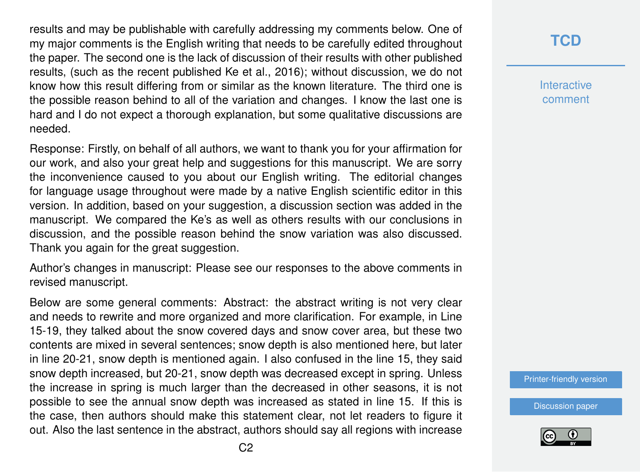results and may be publishable with carefully addressing my comments below. One of my major comments is the English writing that needs to be carefully edited throughout the paper. The second one is the lack of discussion of their results with other published results, (such as the recent published Ke et al., 2016); without discussion, we do not know how this result differing from or similar as the known literature. The third one is the possible reason behind to all of the variation and changes. I know the last one is hard and I do not expect a thorough explanation, but some qualitative discussions are needed.

Response: Firstly, on behalf of all authors, we want to thank you for your affirmation for our work, and also your great help and suggestions for this manuscript. We are sorry the inconvenience caused to you about our English writing. The editorial changes for language usage throughout were made by a native English scientific editor in this version. In addition, based on your suggestion, a discussion section was added in the manuscript. We compared the Ke's as well as others results with our conclusions in discussion, and the possible reason behind the snow variation was also discussed. Thank you again for the great suggestion.

Author's changes in manuscript: Please see our responses to the above comments in revised manuscript.

Below are some general comments: Abstract: the abstract writing is not very clear and needs to rewrite and more organized and more clarification. For example, in Line 15-19, they talked about the snow covered days and snow cover area, but these two contents are mixed in several sentences; snow depth is also mentioned here, but later in line 20-21, snow depth is mentioned again. I also confused in the line 15, they said snow depth increased, but 20-21, snow depth was decreased except in spring. Unless the increase in spring is much larger than the decreased in other seasons, it is not possible to see the annual snow depth was increased as stated in line 15. If this is the case, then authors should make this statement clear, not let readers to figure it out. Also the last sentence in the abstract, authors should say all regions with increase

# **[TCD](http://www.the-cryosphere-discuss.net/)**

**Interactive** comment

[Printer-friendly version](http://www.the-cryosphere-discuss.net/tc-2016-124/tc-2016-124-AC1-print.pdf)

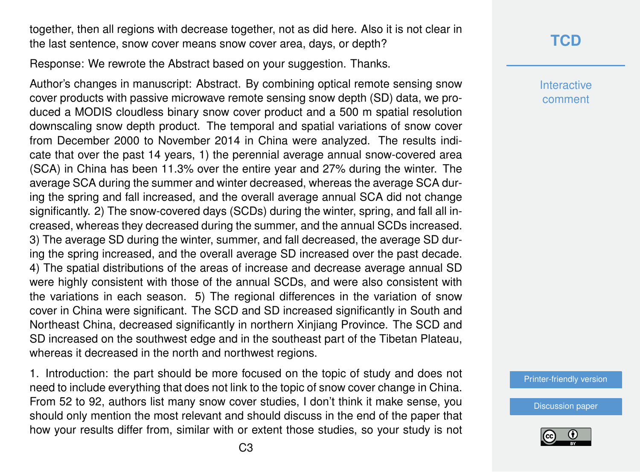together, then all regions with decrease together, not as did here. Also it is not clear in the last sentence, snow cover means snow cover area, days, or depth?

Response: We rewrote the Abstract based on your suggestion. Thanks.

Author's changes in manuscript: Abstract. By combining optical remote sensing snow cover products with passive microwave remote sensing snow depth (SD) data, we produced a MODIS cloudless binary snow cover product and a 500 m spatial resolution downscaling snow depth product. The temporal and spatial variations of snow cover from December 2000 to November 2014 in China were analyzed. The results indicate that over the past 14 years, 1) the perennial average annual snow-covered area (SCA) in China has been 11.3% over the entire year and 27% during the winter. The average SCA during the summer and winter decreased, whereas the average SCA during the spring and fall increased, and the overall average annual SCA did not change significantly. 2) The snow-covered days (SCDs) during the winter, spring, and fall all increased, whereas they decreased during the summer, and the annual SCDs increased. 3) The average SD during the winter, summer, and fall decreased, the average SD during the spring increased, and the overall average SD increased over the past decade. 4) The spatial distributions of the areas of increase and decrease average annual SD were highly consistent with those of the annual SCDs, and were also consistent with the variations in each season. 5) The regional differences in the variation of snow cover in China were significant. The SCD and SD increased significantly in South and Northeast China, decreased significantly in northern Xinjiang Province. The SCD and SD increased on the southwest edge and in the southeast part of the Tibetan Plateau, whereas it decreased in the north and northwest regions.

1. Introduction: the part should be more focused on the topic of study and does not need to include everything that does not link to the topic of snow cover change in China. From 52 to 92, authors list many snow cover studies, I don't think it make sense, you should only mention the most relevant and should discuss in the end of the paper that how your results differ from, similar with or extent those studies, so your study is not

## **[TCD](http://www.the-cryosphere-discuss.net/)**

**Interactive** comment

[Printer-friendly version](http://www.the-cryosphere-discuss.net/tc-2016-124/tc-2016-124-AC1-print.pdf)

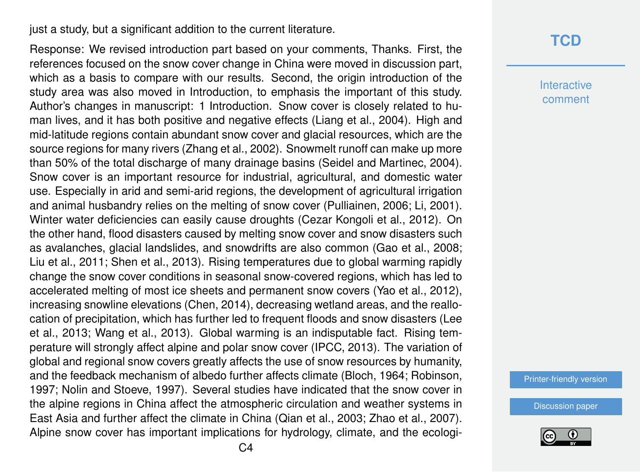just a study, but a significant addition to the current literature.

Response: We revised introduction part based on your comments, Thanks. First, the references focused on the snow cover change in China were moved in discussion part, which as a basis to compare with our results. Second, the origin introduction of the study area was also moved in Introduction, to emphasis the important of this study. Author's changes in manuscript: 1 Introduction. Snow cover is closely related to human lives, and it has both positive and negative effects (Liang et al., 2004). High and mid-latitude regions contain abundant snow cover and glacial resources, which are the source regions for many rivers (Zhang et al., 2002). Snowmelt runoff can make up more than 50% of the total discharge of many drainage basins (Seidel and Martinec, 2004). Snow cover is an important resource for industrial, agricultural, and domestic water use. Especially in arid and semi-arid regions, the development of agricultural irrigation and animal husbandry relies on the melting of snow cover (Pulliainen, 2006; Li, 2001). Winter water deficiencies can easily cause droughts (Cezar Kongoli et al., 2012). On the other hand, flood disasters caused by melting snow cover and snow disasters such as avalanches, glacial landslides, and snowdrifts are also common (Gao et al., 2008; Liu et al., 2011; Shen et al., 2013). Rising temperatures due to global warming rapidly change the snow cover conditions in seasonal snow-covered regions, which has led to accelerated melting of most ice sheets and permanent snow covers (Yao et al., 2012), increasing snowline elevations (Chen, 2014), decreasing wetland areas, and the reallocation of precipitation, which has further led to frequent floods and snow disasters (Lee et al., 2013; Wang et al., 2013). Global warming is an indisputable fact. Rising temperature will strongly affect alpine and polar snow cover (IPCC, 2013). The variation of global and regional snow covers greatly affects the use of snow resources by humanity, and the feedback mechanism of albedo further affects climate (Bloch, 1964; Robinson, 1997; Nolin and Stoeve, 1997). Several studies have indicated that the snow cover in the alpine regions in China affect the atmospheric circulation and weather systems in East Asia and further affect the climate in China (Qian et al., 2003; Zhao et al., 2007). Alpine snow cover has important implications for hydrology, climate, and the ecologi-

#### **[TCD](http://www.the-cryosphere-discuss.net/)**

**Interactive** comment

[Printer-friendly version](http://www.the-cryosphere-discuss.net/tc-2016-124/tc-2016-124-AC1-print.pdf)

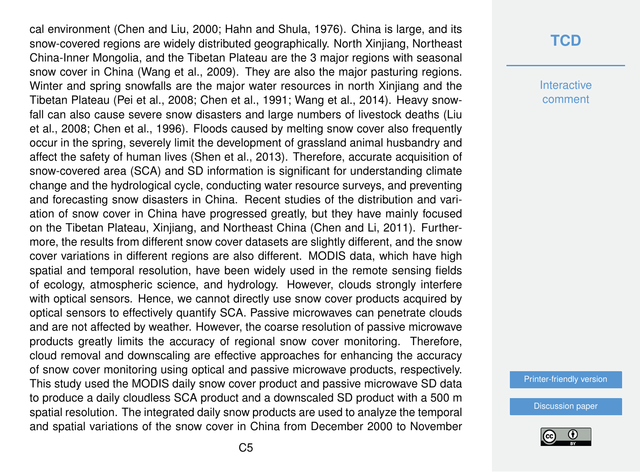cal environment (Chen and Liu, 2000; Hahn and Shula, 1976). China is large, and its snow-covered regions are widely distributed geographically. North Xinjiang, Northeast China-Inner Mongolia, and the Tibetan Plateau are the 3 major regions with seasonal snow cover in China (Wang et al., 2009). They are also the major pasturing regions. Winter and spring snowfalls are the major water resources in north Xinjiang and the Tibetan Plateau (Pei et al., 2008; Chen et al., 1991; Wang et al., 2014). Heavy snowfall can also cause severe snow disasters and large numbers of livestock deaths (Liu et al., 2008; Chen et al., 1996). Floods caused by melting snow cover also frequently occur in the spring, severely limit the development of grassland animal husbandry and affect the safety of human lives (Shen et al., 2013). Therefore, accurate acquisition of snow-covered area (SCA) and SD information is significant for understanding climate change and the hydrological cycle, conducting water resource surveys, and preventing and forecasting snow disasters in China. Recent studies of the distribution and variation of snow cover in China have progressed greatly, but they have mainly focused on the Tibetan Plateau, Xinjiang, and Northeast China (Chen and Li, 2011). Furthermore, the results from different snow cover datasets are slightly different, and the snow cover variations in different regions are also different. MODIS data, which have high spatial and temporal resolution, have been widely used in the remote sensing fields of ecology, atmospheric science, and hydrology. However, clouds strongly interfere with optical sensors. Hence, we cannot directly use snow cover products acquired by optical sensors to effectively quantify SCA. Passive microwaves can penetrate clouds and are not affected by weather. However, the coarse resolution of passive microwave products greatly limits the accuracy of regional snow cover monitoring. Therefore, cloud removal and downscaling are effective approaches for enhancing the accuracy of snow cover monitoring using optical and passive microwave products, respectively. This study used the MODIS daily snow cover product and passive microwave SD data to produce a daily cloudless SCA product and a downscaled SD product with a 500 m spatial resolution. The integrated daily snow products are used to analyze the temporal and spatial variations of the snow cover in China from December 2000 to November

#### **[TCD](http://www.the-cryosphere-discuss.net/)**

**Interactive** comment

[Printer-friendly version](http://www.the-cryosphere-discuss.net/tc-2016-124/tc-2016-124-AC1-print.pdf)

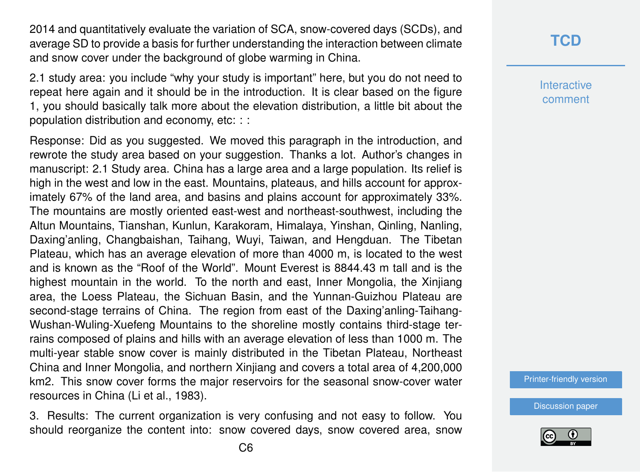2014 and quantitatively evaluate the variation of SCA, snow-covered days (SCDs), and average SD to provide a basis for further understanding the interaction between climate and snow cover under the background of globe warming in China.

2.1 study area: you include "why your study is important" here, but you do not need to repeat here again and it should be in the introduction. It is clear based on the figure 1, you should basically talk more about the elevation distribution, a little bit about the population distribution and economy, etc: : :

Response: Did as you suggested. We moved this paragraph in the introduction, and rewrote the study area based on your suggestion. Thanks a lot. Author's changes in manuscript: 2.1 Study area. China has a large area and a large population. Its relief is high in the west and low in the east. Mountains, plateaus, and hills account for approximately 67% of the land area, and basins and plains account for approximately 33%. The mountains are mostly oriented east-west and northeast-southwest, including the Altun Mountains, Tianshan, Kunlun, Karakoram, Himalaya, Yinshan, Qinling, Nanling, Daxing'anling, Changbaishan, Taihang, Wuyi, Taiwan, and Hengduan. The Tibetan Plateau, which has an average elevation of more than 4000 m, is located to the west and is known as the "Roof of the World". Mount Everest is 8844.43 m tall and is the highest mountain in the world. To the north and east, Inner Mongolia, the Xinjiang area, the Loess Plateau, the Sichuan Basin, and the Yunnan-Guizhou Plateau are second-stage terrains of China. The region from east of the Daxing'anling-Taihang-Wushan-Wuling-Xuefeng Mountains to the shoreline mostly contains third-stage terrains composed of plains and hills with an average elevation of less than 1000 m. The multi-year stable snow cover is mainly distributed in the Tibetan Plateau, Northeast China and Inner Mongolia, and northern Xinjiang and covers a total area of 4,200,000 km2. This snow cover forms the major reservoirs for the seasonal snow-cover water resources in China (Li et al., 1983).

3. Results: The current organization is very confusing and not easy to follow. You should reorganize the content into: snow covered days, snow covered area, snow **[TCD](http://www.the-cryosphere-discuss.net/)**

**Interactive** comment

[Printer-friendly version](http://www.the-cryosphere-discuss.net/tc-2016-124/tc-2016-124-AC1-print.pdf)

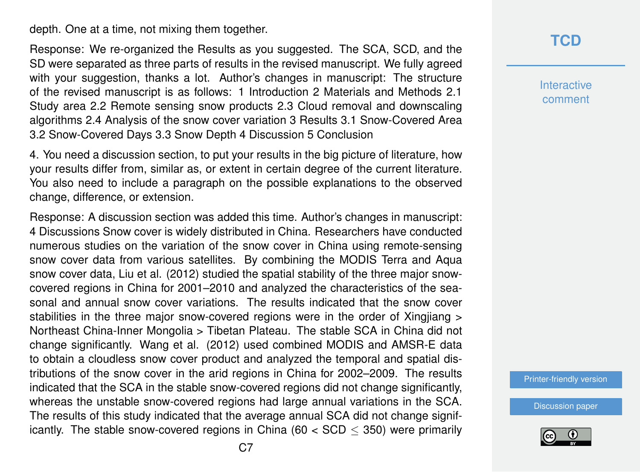depth. One at a time, not mixing them together.

Response: We re-organized the Results as you suggested. The SCA, SCD, and the SD were separated as three parts of results in the revised manuscript. We fully agreed with your suggestion, thanks a lot. Author's changes in manuscript: The structure of the revised manuscript is as follows: 1 Introduction 2 Materials and Methods 2.1 Study area 2.2 Remote sensing snow products 2.3 Cloud removal and downscaling algorithms 2.4 Analysis of the snow cover variation 3 Results 3.1 Snow-Covered Area 3.2 Snow-Covered Days 3.3 Snow Depth 4 Discussion 5 Conclusion

4. You need a discussion section, to put your results in the big picture of literature, how your results differ from, similar as, or extent in certain degree of the current literature. You also need to include a paragraph on the possible explanations to the observed change, difference, or extension.

Response: A discussion section was added this time. Author's changes in manuscript: 4 Discussions Snow cover is widely distributed in China. Researchers have conducted numerous studies on the variation of the snow cover in China using remote-sensing snow cover data from various satellites. By combining the MODIS Terra and Aqua snow cover data, Liu et al. (2012) studied the spatial stability of the three major snowcovered regions in China for 2001–2010 and analyzed the characteristics of the seasonal and annual snow cover variations. The results indicated that the snow cover stabilities in the three major snow-covered regions were in the order of Xingjiang > Northeast China-Inner Mongolia > Tibetan Plateau. The stable SCA in China did not change significantly. Wang et al. (2012) used combined MODIS and AMSR-E data to obtain a cloudless snow cover product and analyzed the temporal and spatial distributions of the snow cover in the arid regions in China for 2002–2009. The results indicated that the SCA in the stable snow-covered regions did not change significantly, whereas the unstable snow-covered regions had large annual variations in the SCA. The results of this study indicated that the average annual SCA did not change significantly. The stable snow-covered regions in China (60  $<$  SCD  $<$  350) were primarily **[TCD](http://www.the-cryosphere-discuss.net/)**

**Interactive** comment

[Printer-friendly version](http://www.the-cryosphere-discuss.net/tc-2016-124/tc-2016-124-AC1-print.pdf)

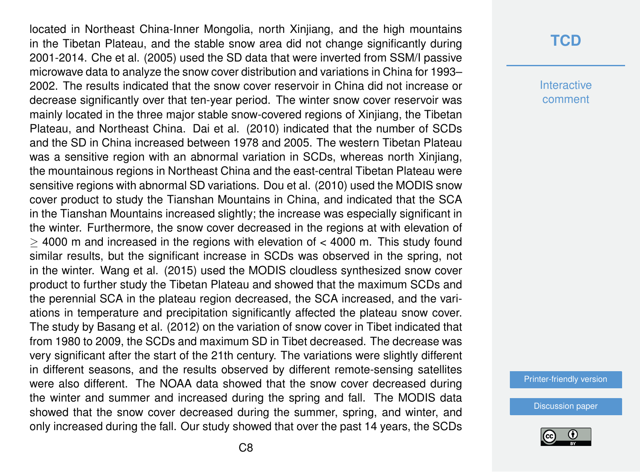located in Northeast China-Inner Mongolia, north Xinjiang, and the high mountains in the Tibetan Plateau, and the stable snow area did not change significantly during 2001-2014. Che et al. (2005) used the SD data that were inverted from SSM/I passive microwave data to analyze the snow cover distribution and variations in China for 1993– 2002. The results indicated that the snow cover reservoir in China did not increase or decrease significantly over that ten-year period. The winter snow cover reservoir was mainly located in the three major stable snow-covered regions of Xinjiang, the Tibetan Plateau, and Northeast China. Dai et al. (2010) indicated that the number of SCDs and the SD in China increased between 1978 and 2005. The western Tibetan Plateau was a sensitive region with an abnormal variation in SCDs, whereas north Xinjiang, the mountainous regions in Northeast China and the east-central Tibetan Plateau were sensitive regions with abnormal SD variations. Dou et al. (2010) used the MODIS snow cover product to study the Tianshan Mountains in China, and indicated that the SCA in the Tianshan Mountains increased slightly; the increase was especially significant in the winter. Furthermore, the snow cover decreased in the regions at with elevation of ≥ 4000 m and increased in the regions with elevation of < 4000 m. This study found similar results, but the significant increase in SCDs was observed in the spring, not in the winter. Wang et al. (2015) used the MODIS cloudless synthesized snow cover product to further study the Tibetan Plateau and showed that the maximum SCDs and the perennial SCA in the plateau region decreased, the SCA increased, and the variations in temperature and precipitation significantly affected the plateau snow cover. The study by Basang et al. (2012) on the variation of snow cover in Tibet indicated that from 1980 to 2009, the SCDs and maximum SD in Tibet decreased. The decrease was very significant after the start of the 21th century. The variations were slightly different in different seasons, and the results observed by different remote-sensing satellites were also different. The NOAA data showed that the snow cover decreased during the winter and summer and increased during the spring and fall. The MODIS data showed that the snow cover decreased during the summer, spring, and winter, and only increased during the fall. Our study showed that over the past 14 years, the SCDs

#### **[TCD](http://www.the-cryosphere-discuss.net/)**

**Interactive** comment

[Printer-friendly version](http://www.the-cryosphere-discuss.net/tc-2016-124/tc-2016-124-AC1-print.pdf)

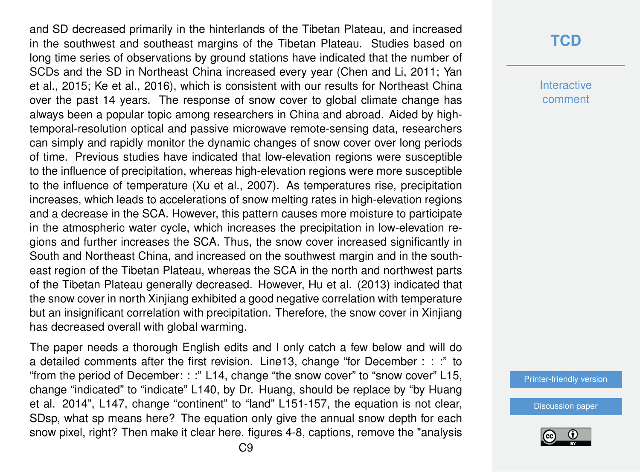and SD decreased primarily in the hinterlands of the Tibetan Plateau, and increased in the southwest and southeast margins of the Tibetan Plateau. Studies based on long time series of observations by ground stations have indicated that the number of SCDs and the SD in Northeast China increased every year (Chen and Li, 2011; Yan et al., 2015; Ke et al., 2016), which is consistent with our results for Northeast China over the past 14 years. The response of snow cover to global climate change has always been a popular topic among researchers in China and abroad. Aided by hightemporal-resolution optical and passive microwave remote-sensing data, researchers can simply and rapidly monitor the dynamic changes of snow cover over long periods of time. Previous studies have indicated that low-elevation regions were susceptible to the influence of precipitation, whereas high-elevation regions were more susceptible to the influence of temperature (Xu et al., 2007). As temperatures rise, precipitation increases, which leads to accelerations of snow melting rates in high-elevation regions and a decrease in the SCA. However, this pattern causes more moisture to participate in the atmospheric water cycle, which increases the precipitation in low-elevation regions and further increases the SCA. Thus, the snow cover increased significantly in South and Northeast China, and increased on the southwest margin and in the southeast region of the Tibetan Plateau, whereas the SCA in the north and northwest parts of the Tibetan Plateau generally decreased. However, Hu et al. (2013) indicated that the snow cover in north Xinjiang exhibited a good negative correlation with temperature but an insignificant correlation with precipitation. Therefore, the snow cover in Xinjiang has decreased overall with global warming.

The paper needs a thorough English edits and I only catch a few below and will do a detailed comments after the first revision. Line13, change "for December : : :" to "from the period of December: : :" L14, change "the snow cover" to "snow cover" L15, change "indicated" to "indicate" L140, by Dr. Huang, should be replace by "by Huang et al. 2014", L147, change "continent" to "land" L151-157, the equation is not clear, SDsp, what sp means here? The equation only give the annual snow depth for each snow pixel, right? Then make it clear here. figures 4-8, captions, remove the "analysis

#### **[TCD](http://www.the-cryosphere-discuss.net/)**

**Interactive** comment

[Printer-friendly version](http://www.the-cryosphere-discuss.net/tc-2016-124/tc-2016-124-AC1-print.pdf)